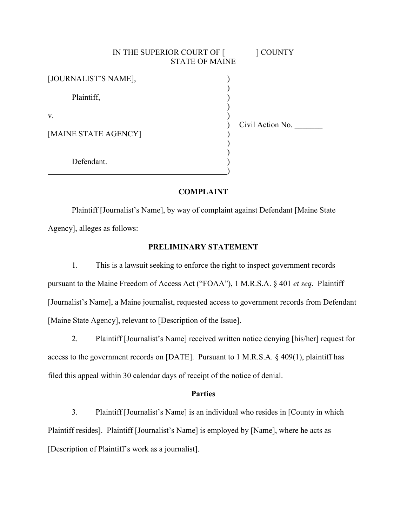| IN THE SUPERIOR COURT OF [ | ] COUNTY<br><b>STATE OF MAINE</b> |
|----------------------------|-----------------------------------|
| [JOURNALIST'S NAME],       |                                   |
| Plaintiff,                 |                                   |
| V.                         | Civil Action No.                  |
| [MAINE STATE AGENCY]       |                                   |
| Defendant.                 |                                   |

### **COMPLAINT**

Plaintiff [Journalist's Name], by way of complaint against Defendant [Maine State Agency], alleges as follows:

# **PRELIMINARY STATEMENT**

1. This is a lawsuit seeking to enforce the right to inspect government records pursuant to the Maine Freedom of Access Act ("FOAA"), 1 M.R.S.A. § 401 *et seq*. Plaintiff [Journalist's Name], a Maine journalist, requested access to government records from Defendant [Maine State Agency], relevant to [Description of the Issue].

2. Plaintiff [Journalist's Name] received written notice denying [his/her] request for access to the government records on [DATE]. Pursuant to 1 M.R.S.A. § 409(1), plaintiff has filed this appeal within 30 calendar days of receipt of the notice of denial.

#### **Parties**

3. Plaintiff [Journalist's Name] is an individual who resides in [County in which Plaintiff resides]. Plaintiff [Journalist's Name] is employed by [Name], where he acts as [Description of Plaintiff's work as a journalist].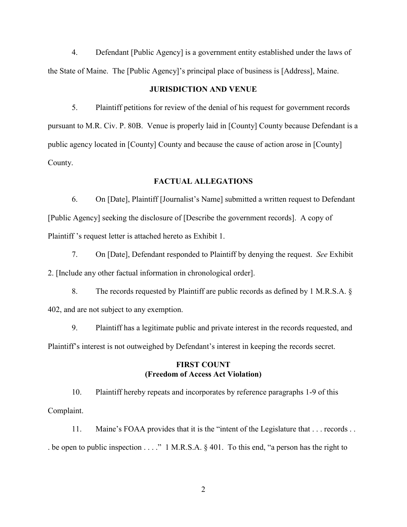4. Defendant [Public Agency] is a government entity established under the laws of the State of Maine. The [Public Agency]'s principal place of business is [Address], Maine.

### **JURISDICTION AND VENUE**

5. Plaintiff petitions for review of the denial of his request for government records pursuant to M.R. Civ. P. 80B. Venue is properly laid in [County] County because Defendant is a public agency located in [County] County and because the cause of action arose in [County] County.

#### **FACTUAL ALLEGATIONS**

6. On [Date], Plaintiff [Journalist's Name] submitted a written request to Defendant [Public Agency] seeking the disclosure of [Describe the government records]. A copy of Plaintiff 's request letter is attached hereto as Exhibit 1.

7. On [Date], Defendant responded to Plaintiff by denying the request. *See* Exhibit 2. [Include any other factual information in chronological order].

8. The records requested by Plaintiff are public records as defined by 1 M.R.S.A. § 402, and are not subject to any exemption.

9. Plaintiff has a legitimate public and private interest in the records requested, and Plaintiff's interest is not outweighed by Defendant's interest in keeping the records secret.

## **FIRST COUNT (Freedom of Access Act Violation)**

10. Plaintiff hereby repeats and incorporates by reference paragraphs 1-9 of this Complaint.

11. Maine's FOAA provides that it is the "intent of the Legislature that . . . records . . . be open to public inspection . . . ." 1 M.R.S.A. § 401. To this end, "a person has the right to

2